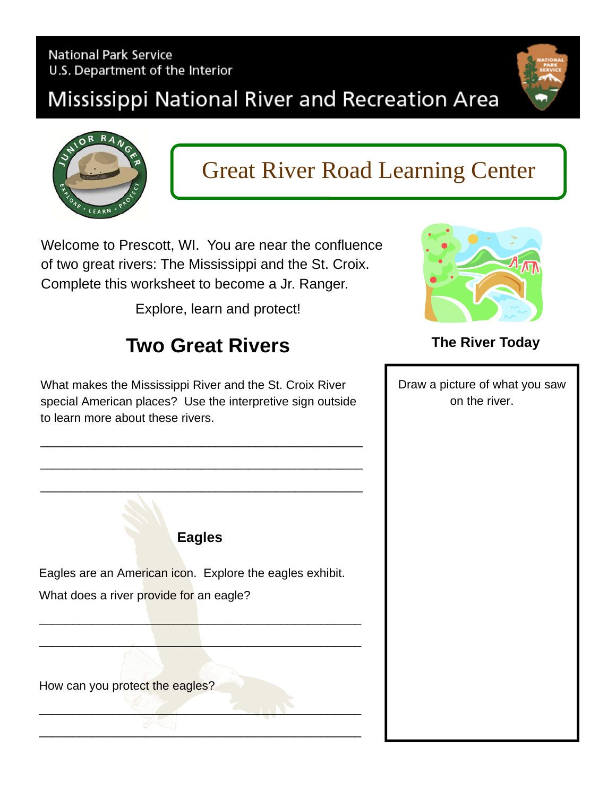#### **National Park Service** U.S. Department of the Interior

## Mississippi National River and Recreation Area



# Great River Road Learning Center

Welcome to Prescott, WI. You are near the confluence of two great rivers: The Mississippi and the St. Croix. Complete this worksheet to become a Jr. Ranger.

Explore, learn and protect!

### **Two Great Rivers**

What makes the Mississippi River and the St. Croix River special American places? Use the interpretive sign outside to learn more about these rivers.

\_\_\_\_\_\_\_\_\_\_\_\_\_\_\_\_\_\_\_\_\_\_\_\_\_\_\_\_\_\_\_\_\_\_\_\_\_\_\_\_\_\_\_\_\_\_\_\_

\_\_\_\_\_\_\_\_\_\_\_\_\_\_\_\_\_\_\_\_\_\_\_\_\_\_\_\_\_\_\_\_\_\_\_\_\_\_\_\_\_\_\_\_\_\_\_\_

\_\_\_\_\_\_\_\_\_\_\_\_\_\_\_\_\_\_\_\_\_\_\_\_\_\_\_\_\_\_\_\_\_\_\_\_\_\_\_\_\_\_\_\_\_\_\_\_



#### **The River Today**

Draw a picture of what you saw on the river.

**Eagles** 

Eagles are an American icon. Explore the eagles exhibit. What does a river provide for an eagle?

\_\_\_\_\_\_\_\_\_\_\_\_\_\_\_\_\_\_\_\_\_\_\_\_\_\_\_\_\_\_\_\_\_\_\_\_\_\_\_\_\_\_\_\_\_\_\_\_

\_\_\_\_\_\_\_\_\_\_\_\_\_\_\_\_\_\_\_\_\_\_\_\_\_\_\_\_\_\_\_\_\_\_\_\_\_\_\_\_\_\_\_\_\_\_\_\_

\_\_\_\_\_\_\_\_\_\_\_\_\_\_\_\_\_\_\_\_\_\_\_\_\_\_\_\_\_\_\_\_\_\_\_\_\_\_\_\_\_\_\_\_\_\_\_\_

\_\_\_\_\_\_\_\_\_\_\_\_\_\_\_\_\_\_\_\_\_\_\_\_\_\_\_\_\_\_\_\_\_\_\_\_\_\_\_\_\_\_\_\_\_\_\_\_

How can you protect the eagles?